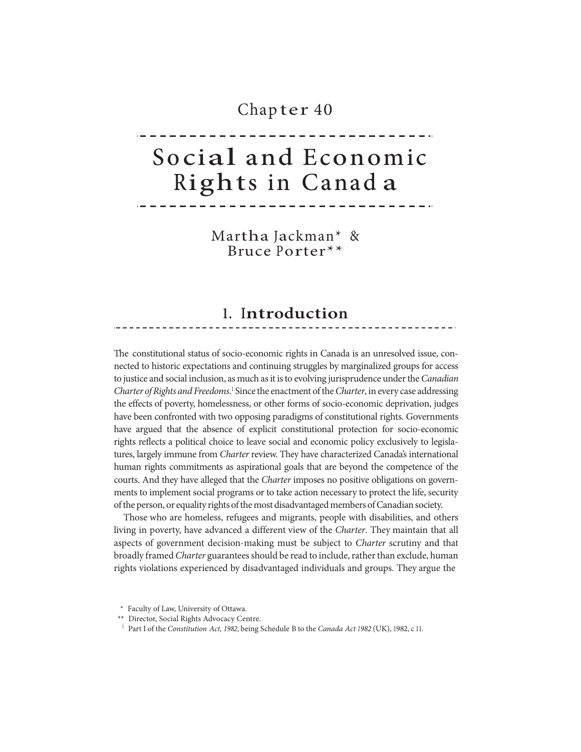### Chapter 40

# Social and Economic Rights in Canada

Martha Jackman\* & Bruce Porter\*\*

### **1. Introduction**

The constitutional status of socio-economic rights in Canada is an unresolved issue, connected to historic expectations and continuing struggles by marginalized groups for access to justice and social inclusion, as much as it is to evolving jurisprudence under the *Canadian* Charter of Rights and Freedoms.<sup>1</sup> Since the enactment of the Charter, in every case addressing the effects of poverty, homelessness, or other forms of socio-economic deprivation, judges have been confronted with two opposing paradigms of constitutional rights. Governments have argued that the absence of explicit constitutional protection for socio-economic rights reflects a political choice to leave social and economic policy exclusively to legislatures, largely immune from *Charter* review. They have characterized Canada's international human rights commitments as aspirational goals that are beyond the competence of the courts. And they have alleged that the *Charter* imposes no positive obligations on governments to implement social programs or to take action necessary to protect the life, security of the person, or equality rights of the most disadvantaged members of Canadian society.

Those who are homeless, refugees and migrants, people with disabilities, and others living in poverty, have advanced a different view of the Charter. They maintain that all aspects of government decision-making must be subject to *Charter* scrutiny and that broadly framed *Charter* guarantees should be read to include, rather than exclude, human rights violations experienced by disadvantaged individuals and groups. They argue the

<sup>\*</sup> Faculty of Law, University of Ottawa.

<sup>\*\*</sup> Director, Social Rights Advocacy Centre.

<sup>&</sup>lt;sup>1</sup> Part I of the Constitution Act, 1982, being Schedule B to the Canada Act 1982 (UK), 1982, c 11.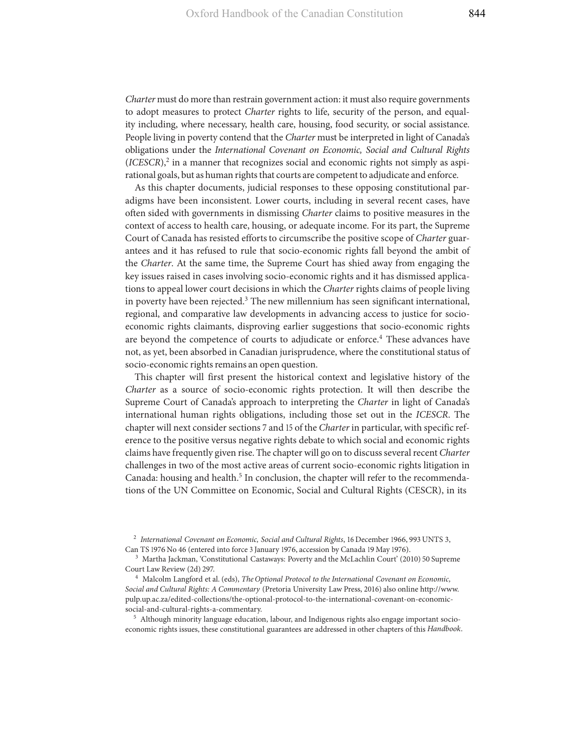Charter must do more than restrain government action: it must also require governments to adopt measures to protect *Charter* rights to life, security of the person, and equality including, where necessary, health care, housing, food security, or social assistance. People living in poverty contend that the *Charter* must be interpreted in light of Canada's obligations under the International Covenant on Economic, Social and Cultural Rights  $(ICESCR)^2$  in a manner that recognizes social and economic rights not simply as aspirational goals, but as human rights that courts are competent to adjudicate and enforce.

As this chapter documents, judicial responses to these opposing constitutional paradigms have been inconsistent. Lower courts, including in several recent cases, have often sided with governments in dismissing Charter claims to positive measures in the context of access to health care, housing, or adequate income. For its part, the Supreme Court of Canada has resisted efforts to circumscribe the positive scope of Charter guarantees and it has refused to rule that socio-economic rights fall beyond the ambit of the Charter. At the same time, the Supreme Court has shied away from engaging the key issues raised in cases involving socio-economic rights and it has dismissed applications to appeal lower court decisions in which the Charter rights claims of people living in poverty have been rejected. $3$  The new millennium has seen significant international, regional, and comparative law developments in advancing access to justice for socioeconomic rights claimants, disproving earlier suggestions that socio-economic rights are beyond the competence of courts to adjudicate or enforce.<sup>4</sup> These advances have not, as yet, been absorbed in Canadian jurisprudence, where the constitutional status of socio-economic rights remains an open question.

This chapter will first present the historical context and legislative history of the Charter as a source of socio-economic rights protection. It will then describe the Supreme Court of Canada's approach to interpreting the Charter in light of Canada's international human rights obligations, including those set out in the ICESCR. The chapter will next consider sections 7 and 15 of the Charter in particular, with specific reference to the positive versus negative rights debate to which social and economic rights claims have frequently given rise. The chapter will go on to discuss several recent Charter challenges in two of the most active areas of current socio-economic rights litigation in Canada: housing and health.<sup>5</sup> In conclusion, the chapter will refer to the recommendations of the UN Committee on Economic, Social and Cultural Rights (CESCR), in its

<sup>2</sup> International Covenant on Economic, Social and Cultural Rights, 16 December 1966, 993 UNTS 3, Can TS 1976 No 46 (entered into force 3 January 1976, accession by Canada 19 May 1976).

3 Martha Jackman, 'Constitutional Castaways: Poverty and the McLachlin Court' (2010) 50 Supreme Court Law Review (2d) 297.

4 Malcolm Langford et al. (eds), The Optional Protocol to the International Covenant on Economic, Social and Cultural Rights: A Commentary (Pretoria University Law Press, 2016) also online http://www. pulp.up.ac.za/edited-collections/the-optional-protocol-to-the-international-covenant-on-economicsocial-and-cultural-rights-a-commentary.

<sup>5</sup> Although minority language education, labour, and Indigenous rights also engage important socioeconomic rights issues, these constitutional guarantees are addressed in other chapters of this Handbook.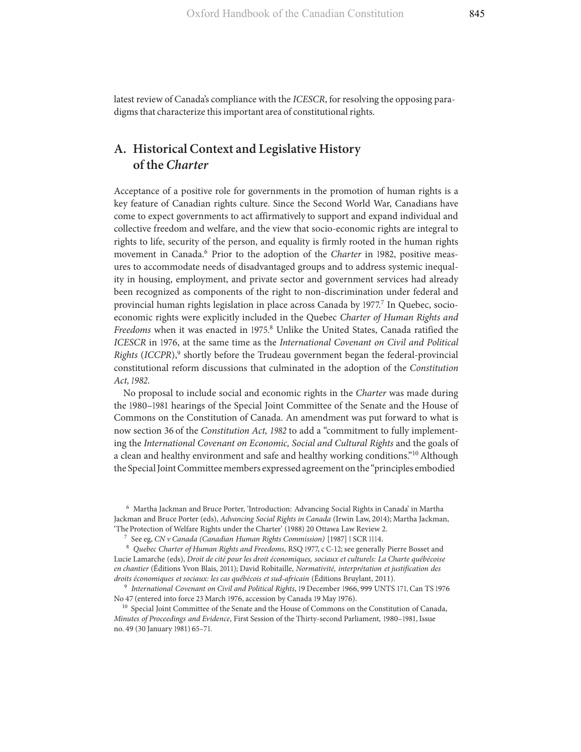latest review of Canada's compliance with the ICESCR, for resolving the opposing paradigms that characterize this important area of constitutional rights.

#### **A. Historical Context and Legislative History of the Charter**

Acceptance of a positive role for governments in the promotion of human rights is a key feature of Canadian rights culture. Since the Second World War, Canadians have come to expect governments to act affirmatively to support and expand individual and collective freedom and welfare, and the view that socio-economic rights are integral to rights to life, security of the person, and equality is firmly rooted in the human rights movement in Canada.<sup>6</sup> Prior to the adoption of the Charter in 1982, positive measures to accommodate needs of disadvantaged groups and to address systemic inequality in housing, employment, and private sector and government services had already been recognized as components of the right to non-discrimination under federal and provincial human rights legislation in place across Canada by 1977. 7 In Quebec, socioeconomic rights were explicitly included in the Quebec Charter of Human Rights and Freedoms when it was enacted in 1975.8 Unlike the United States, Canada ratified the ICESCR in 1976, at the same time as the International Covenant on Civil and Political Rights (ICCPR),<sup>9</sup> shortly before the Trudeau government began the federal-provincial constitutional reform discussions that culminated in the adoption of the Constitution Act, 1982.

No proposal to include social and economic rights in the Charter was made during the 1980–1981 hearings of the Special Joint Committee of the Senate and the House of Commons on the Constitution of Canada. An amendment was put forward to what is now section 36 of the Constitution Act, 1982 to add a "commitment to fully implementing the International Covenant on Economic, Social and Cultural Rights and the goals of a clean and healthy environment and safe and healthy working conditions."10 Although the Special Joint Committee members expressed agreement on the "principles embodied

6 Martha Jackman and Bruce Porter, 'Introduction: Advancing Social Rights in Canada' in Martha Jackman and Bruce Porter (eds), Advancing Social Rights in Canada (Irwin Law, 2014); Martha Jackman, 'The Protection of Welfare Rights under the Charter' (1988) 20 Ottawa Law Review 2.

<sup>7</sup> See eg, CN v Canada (Canadian Human Rights Commission) [1987] 1 SCR 1114.

<sup>&</sup>lt;sup>8</sup> Quebec Charter of Human Rights and Freedoms, RSQ 1977, c C-12; see generally Pierre Bosset and Lucie Lamarche (eds), Droit de cité pour les droit économiques, sociaux et culturels: La Charte québécoise en chantier (Éditions Yvon Blais, 2011); David Robitaille, Normativité, interprétation et justification des droits économiques et sociaux: les cas québécois et sud-africain (Éditions Bruylant, 2011).

<sup>&</sup>lt;sup>9</sup> International Covenant on Civil and Political Rights, 19 December 1966, 999 UNTS 171, Can TS 1976 No 47 (entered into force 23 March 1976, accession by Canada 19 May 1976).

<sup>&</sup>lt;sup>10</sup> Special Joint Committee of the Senate and the House of Commons on the Constitution of Canada, Minutes of Proceedings and Evidence, First Session of the Thirty-second Parliament, 1980–1981, Issue no. 49 (30 January 1981) 65–71.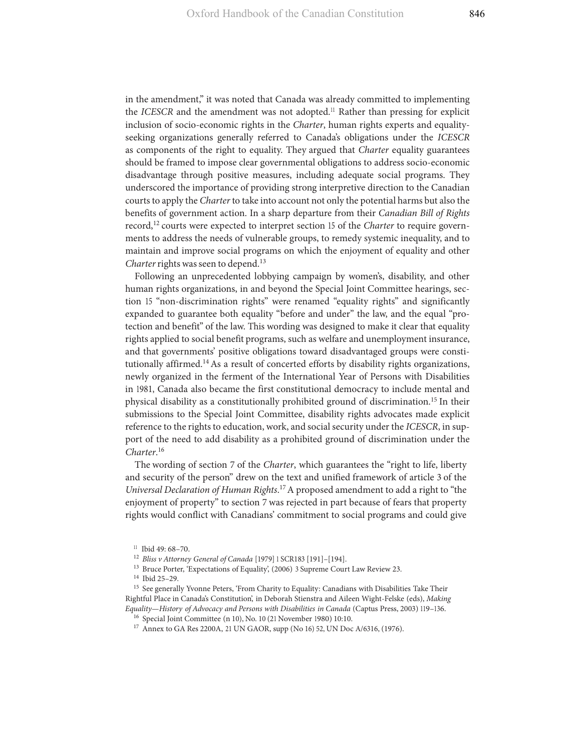in the amendment," it was noted that Canada was already committed to implementing the ICESCR and the amendment was not adopted.<sup>11</sup> Rather than pressing for explicit inclusion of socio-economic rights in the Charter, human rights experts and equalityseeking organizations generally referred to Canada's obligations under the ICESCR as components of the right to equality. They argued that *Charter* equality guarantees should be framed to impose clear governmental obligations to address socio-economic disadvantage through positive measures, including adequate social programs. They underscored the importance of providing strong interpretive direction to the Canadian courts to apply the *Charter* to take into account not only the potential harms but also the benefits of government action. In a sharp departure from their Canadian Bill of Rights record,<sup>12</sup> courts were expected to interpret section 15 of the *Charter* to require governments to address the needs of vulnerable groups, to remedy systemic inequality, and to maintain and improve social programs on which the enjoyment of equality and other Charter rights was seen to depend.<sup>13</sup>

Following an unprecedented lobbying campaign by women's, disability, and other human rights organizations, in and beyond the Special Joint Committee hearings, section 15 "non-discrimination rights" were renamed "equality rights" and significantly expanded to guarantee both equality "before and under" the law, and the equal "protection and benefit" of the law. This wording was designed to make it clear that equality rights applied to social benefit programs, such as welfare and unemployment insurance, and that governments' positive obligations toward disadvantaged groups were constitutionally affirmed.14 As a result of concerted efforts by disability rights organizations, newly organized in the ferment of the International Year of Persons with Disabilities in 1981, Canada also became the first constitutional democracy to include mental and physical disability as a constitutionally prohibited ground of discrimination.15 In their submissions to the Special Joint Committee, disability rights advocates made explicit reference to the rights to education, work, and social security under the ICESCR, in support of the need to add disability as a prohibited ground of discrimination under the Charter.<sup>16</sup>

The wording of section 7 of the Charter, which guarantees the "right to life, liberty and security of the person" drew on the text and unified framework of article 3 of the Universal Declaration of Human Rights.<sup>17</sup> A proposed amendment to add a right to "the enjoyment of property" to section 7 was rejected in part because of fears that property rights would conflict with Canadians' commitment to social programs and could give

<sup>&</sup>lt;sup>11</sup> Ibid 49: 68-70.

<sup>&</sup>lt;sup>12</sup> Bliss v Attorney General of Canada [1979] 1 SCR183 [191]-[194].

<sup>&</sup>lt;sup>13</sup> Bruce Porter, 'Expectations of Equality', (2006) 3 Supreme Court Law Review 23.

<sup>14</sup> Ibid 25–29.

<sup>&</sup>lt;sup>15</sup> See generally Yvonne Peters, 'From Charity to Equality: Canadians with Disabilities Take Their Rightful Place in Canada's Constitution', in Deborah Stienstra and Aileen Wight-Felske (eds), Making Equality—History of Advocacy and Persons with Disabilities in Canada (Captus Press, 2003) 119–136.

<sup>16</sup> Special Joint Committee (n 10), No. 10 (21 November 1980) 10:10.

<sup>&</sup>lt;sup>17</sup> Annex to GA Res 2200A, 21 UN GAOR, supp (No 16) 52, UN Doc A/6316, (1976).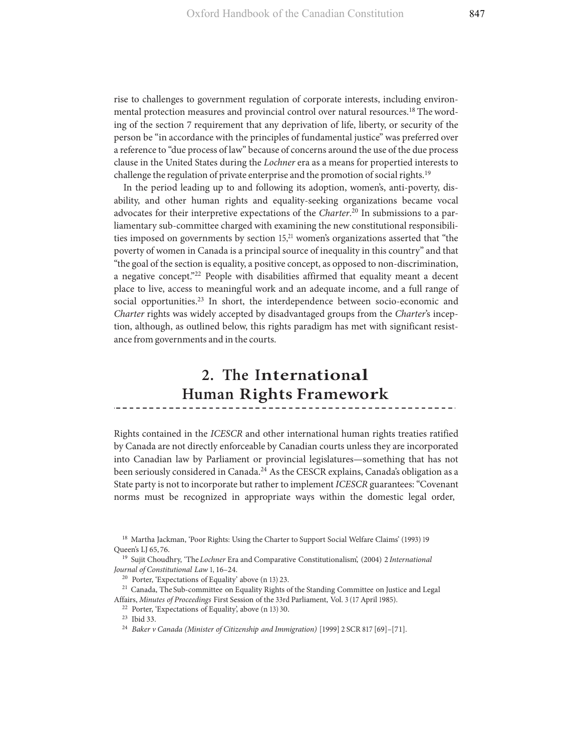rise to challenges to government regulation of corporate interests, including environmental protection measures and provincial control over natural resources.18 The wording of the section 7 requirement that any deprivation of life, liberty, or security of the person be "in accordance with the principles of fundamental justice" was preferred over a reference to "due process of law" because of concerns around the use of the due process clause in the United States during the Lochner era as a means for propertied interests to challenge the regulation of private enterprise and the promotion of social rights.19

In the period leading up to and following its adoption, women's, anti-poverty, disability, and other human rights and equality-seeking organizations became vocal advocates for their interpretive expectations of the Charter.<sup>20</sup> In submissions to a parliamentary sub-committee charged with examining the new constitutional responsibilities imposed on governments by section  $15$ ,<sup>21</sup> women's organizations asserted that "the poverty of women in Canada is a principal source of inequality in this country" and that "the goal of the section is equality, a positive concept, as opposed to non-discrimination, a negative concept."<sup>22</sup> People with disabilities affirmed that equality meant a decent place to live, access to meaningful work and an adequate income, and a full range of social opportunities.<sup>23</sup> In short, the interdependence between socio-economic and Charter rights was widely accepted by disadvantaged groups from the Charter's inception, although, as outlined below, this rights paradigm has met with significant resistance from governments and in the courts.

### **2. The International Human Rights Framework**

Rights contained in the ICESCR and other international human rights treaties ratified by Canada are not directly enforceable by Canadian courts unless they are incorporated into Canadian law by Parliament or provincial legislatures—something that has not been seriously considered in Canada.<sup>24</sup> As the CESCR explains, Canada's obligation as a State party is not to incorporate but rather to implement ICESCR guarantees: "Covenant norms must be recognized in appropriate ways within the domestic legal order,

<sup>&</sup>lt;sup>18</sup> Martha Jackman, 'Poor Rights: Using the Charter to Support Social Welfare Claims' (1993) 19 Queen's LJ 65, 76.

<sup>&</sup>lt;sup>19</sup> Sujit Choudhry, 'The Lochner Era and Comparative Constitutionalism', (2004) 2 International Journal of Constitutional Law 1, 16–24.

<sup>20</sup> Porter, 'Expectations of Equality' above (n 13) 23.

 $^\mathrm{21}$  Canada, The Sub-committee on Equality Rights of the Standing Committee on Justice and Legal Affairs, Minutes of Proceedings First Session of the 33rd Parliament, Vol. 3 (17 April 1985).

<sup>22</sup> Porter, 'Expectations of Equality', above (n 13) 30.

<sup>23</sup> Ibid 33.

<sup>&</sup>lt;sup>24</sup> Baker v Canada (Minister of Citizenship and Immigration) [1999]  $2$  SCR 817 [69]-[71].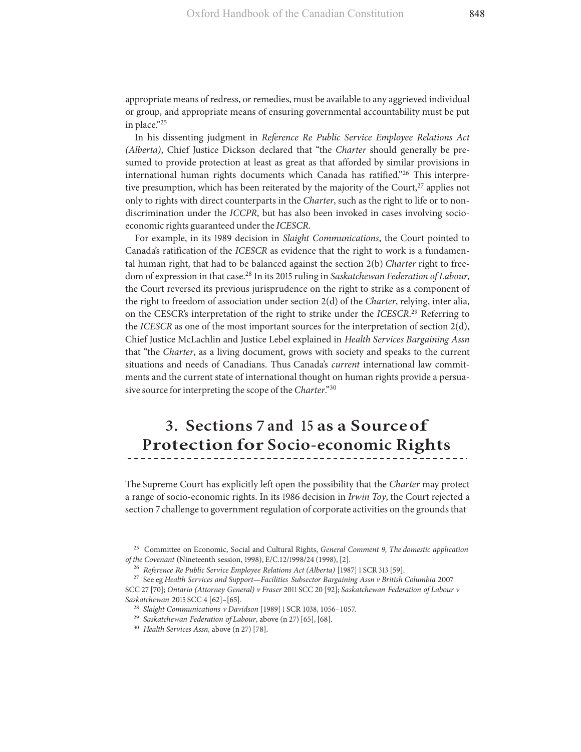appropriate means of redress, or remedies, must be available to any aggrieved individual or group, and appropriate means of ensuring governmental accountability must be put in place."25

In his dissenting judgment in Reference Re Public Service Employee Relations Act (Alberta), Chief Justice Dickson declared that "the Charter should generally be presumed to provide protection at least as great as that afforded by similar provisions in international human rights documents which Canada has ratified."<sup>26</sup> This interpretive presumption, which has been reiterated by the majority of the Court,<sup>27</sup> applies not only to rights with direct counterparts in the Charter, such as the right to life or to nondiscrimination under the ICCPR, but has also been invoked in cases involving socioeconomic rights guaranteed under the ICESCR.

For example, in its 1989 decision in Slaight Communications, the Court pointed to Canada's ratification of the ICESCR as evidence that the right to work is a fundamental human right, that had to be balanced against the section 2(b) Charter right to freedom of expression in that case.<sup>28</sup> In its 2015 ruling in Saskatchewan Federation of Labour, the Court reversed its previous jurisprudence on the right to strike as a component of the right to freedom of association under section 2(d) of the Charter, relying, inter alia, on the CESCR's interpretation of the right to strike under the ICESCR.<sup>29</sup> Referring to the ICESCR as one of the most important sources for the interpretation of section 2(d), Chief Justice McLachlin and Justice Lebel explained in Health Services Bargaining Assn that "the Charter, as a living document, grows with society and speaks to the current situations and needs of Canadians. Thus Canada's current international law commitments and the current state of international thought on human rights provide a persuasive source for interpreting the scope of the Charter."30

# **3. Sections 7 and 15 as a Source of Protection for Socio-economic Rights**

The Supreme Court has explicitly left open the possibility that the Charter may protect a range of socio-economic rights. In its 1986 decision in Irwin Toy, the Court rejected a section 7 challenge to government regulation of corporate activities on the grounds that

<sup>&</sup>lt;sup>25</sup> Committee on Economic, Social and Cultural Rights, General Comment 9, The domestic application of the Covenant (Nineteenth session, 1998), E/C.12/1998/24 (1998), [2].

<sup>&</sup>lt;sup>26</sup> Reference Re Public Service Employee Relations Act (Alberta) [1987] 1 SCR 313 [59].

 $27$  See eg Health Services and Support—Facilities Subsector Bargaining Assn v British Columbia 2007 SCC 27 [70]; Ontario (Attorney General) v Fraser 2011 SCC 20 [92]; Saskatchewan Federation of Labour v Saskatchewan 2015 SCC 4 [62]–[65].

<sup>&</sup>lt;sup>28</sup> Slaight Communications v Davidson [1989] 1 SCR 1038, 1056-1057.

<sup>&</sup>lt;sup>29</sup> Saskatchewan Federation of Labour, above (n 27) [65], [68].

 $30$  Health Services Assn, above (n 27) [78].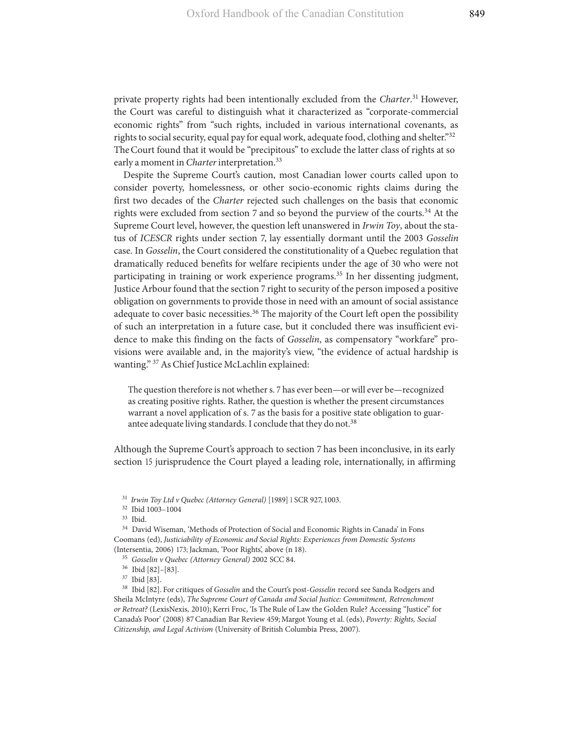private property rights had been intentionally excluded from the Charter.<sup>31</sup> However, the Court was careful to distinguish what it characterized as "corporate-commercial economic rights" from "such rights, included in various international covenants, as rights to social security, equal pay for equal work, adequate food, clothing and shelter.<sup>"32</sup> The Court found that it would be "precipitous" to exclude the latter class of rights at so early a moment in *Charter* interpretation.<sup>33</sup>

Despite the Supreme Court's caution, most Canadian lower courts called upon to consider poverty, homelessness, or other socio-economic rights claims during the first two decades of the Charter rejected such challenges on the basis that economic rights were excluded from section 7 and so beyond the purview of the courts.34 At the Supreme Court level, however, the question left unanswered in *Irwin Toy*, about the status of ICESCR rights under section 7, lay essentially dormant until the 2003 Gosselin case. In Gosselin, the Court considered the constitutionality of a Quebec regulation that dramatically reduced benefits for welfare recipients under the age of 30 who were not participating in training or work experience programs.<sup>35</sup> In her dissenting judgment, Justice Arbour found that the section 7 right to security of the person imposed a positive obligation on governments to provide those in need with an amount of social assistance adequate to cover basic necessities.<sup>36</sup> The majority of the Court left open the possibility of such an interpretation in a future case, but it concluded there was insufficient evidence to make this finding on the facts of Gosselin, as compensatory "workfare" provisions were available and, in the majority's view, "the evidence of actual hardship is wanting." 37 As Chief Justice McLachlin explained:

The question therefore is not whether s. 7 has ever been—or will ever be—recognized as creating positive rights. Rather, the question is whether the present circumstances warrant a novel application of s. 7 as the basis for a positive state obligation to guarantee adequate living standards. I conclude that they do not.<sup>38</sup>

Although the Supreme Court's approach to section 7 has been inconclusive, in its early section 15 jurisprudence the Court played a leading role, internationally, in affirming

<sup>31</sup> Irwin Toy Ltd v Quebec (Attorney General) [1989] 1 SCR 927, 1003.

32 Ibid 1003–1004

33 Ibid.

34 David Wiseman, 'Methods of Protection of Social and Economic Rights in Canada' in Fons Coomans (ed), Justiciability of Economic and Social Rights: Experiences from Domestic Systems (Intersentia, 2006) 173; Jackman, 'Poor Rights', above (n 18).

<sup>35</sup> Gosselin v Quebec (Attorney General) 2002 SCC 84.

36 Ibid [82]–[83].

37 Ibid [83].

<sup>38</sup> Ibid [82]. For critiques of Gosselin and the Court's post-Gosselin record see Sanda Rodgers and Sheila McIntyre (eds), The Supreme Court of Canada and Social Justice: Commitment, Retrenchment or Retreat? (LexisNexis, 2010); Kerri Froc, 'Is The Rule of Law the Golden Rule? Accessing "Justice" for Canada's Poor' (2008) 87 Canadian Bar Review 459; Margot Young et al. (eds), Poverty: Rights, Social Citizenship, and Legal Activism (University of British Columbia Press, 2007).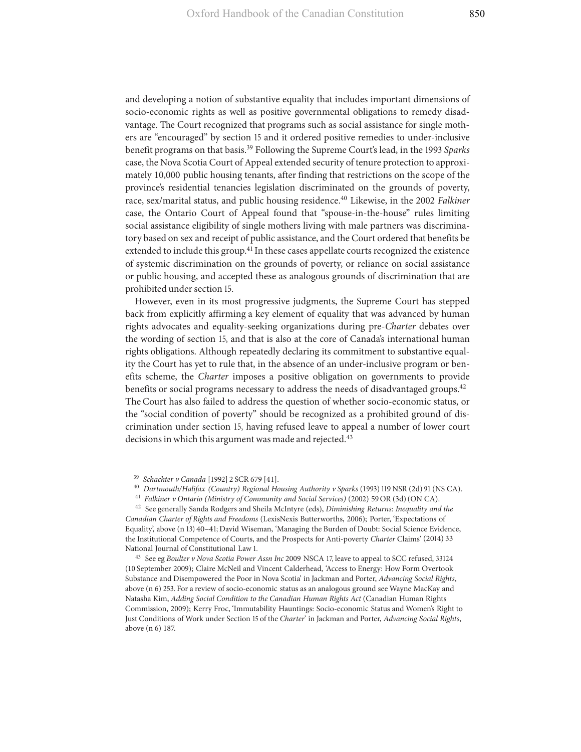and developing a notion of substantive equality that includes important dimensions of socio-economic rights as well as positive governmental obligations to remedy disadvantage. The Court recognized that programs such as social assistance for single mothers are "encouraged" by section 15 and it ordered positive remedies to under-inclusive benefit programs on that basis.<sup>39</sup> Following the Supreme Court's lead, in the 1993 Sparks case, the Nova Scotia Court of Appeal extended security of tenure protection to approximately 10,000 public housing tenants, after finding that restrictions on the scope of the province's residential tenancies legislation discriminated on the grounds of poverty, race, sex/marital status, and public housing residence.<sup>40</sup> Likewise, in the 2002 Falkiner case, the Ontario Court of Appeal found that "spouse-in-the-house" rules limiting social assistance eligibility of single mothers living with male partners was discriminatory based on sex and receipt of public assistance, and the Court ordered that benefits be extended to include this group.<sup>41</sup> In these cases appellate courts recognized the existence of systemic discrimination on the grounds of poverty, or reliance on social assistance or public housing, and accepted these as analogous grounds of discrimination that are prohibited under section 15.

However, even in its most progressive judgments, the Supreme Court has stepped back from explicitly affirming a key element of equality that was advanced by human rights advocates and equality-seeking organizations during pre-Charter debates over the wording of section 15, and that is also at the core of Canada's international human rights obligations. Although repeatedly declaring its commitment to substantive equality the Court has yet to rule that, in the absence of an under-inclusive program or benefits scheme, the Charter imposes a positive obligation on governments to provide benefits or social programs necessary to address the needs of disadvantaged groups.42 The Court has also failed to address the question of whether socio-economic status, or the "social condition of poverty" should be recognized as a prohibited ground of discrimination under section 15, having refused leave to appeal a number of lower court decisions in which this argument was made and rejected.<sup>43</sup>

 $42$  See generally Sanda Rodgers and Sheila McIntyre (eds), Diminishing Returns: Inequality and the Canadian Charter of Rights and Freedoms (LexisNexis Butterworths, 2006); Porter, 'Expectations of Equality', above (n 13) 40–41; David Wiseman, 'Managing the Burden of Doubt: Social Science Evidence, the Institutional Competence of Courts, and the Prospects for Anti-poverty Charter Claims' (2014) 33 National Journal of Constitutional Law 1.

<sup>43</sup> See eg Boulter v Nova Scotia Power Assn Inc 2009 NSCA 17, leave to appeal to SCC refused, 33124 (10 September 2009); Claire McNeil and Vincent Calderhead, 'Access to Energy: How Form Overtook Substance and Disempowered the Poor in Nova Scotia' in Jackman and Porter, Advancing Social Rights, above (n 6) 253. For a review of socio-economic status as an analogous ground see Wayne MacKay and Natasha Kim, Adding Social Condition to the Canadian Human Rights Act (Canadian Human Rights Commission, 2009); Kerry Froc, 'Immutability Hauntings: Socio-economic Status and Women's Right to Just Conditions of Work under Section 15 of the Charter' in Jackman and Porter, Advancing Social Rights, above (n 6) 187.

<sup>39</sup> Schachter v Canada [1992] 2 SCR 679 [41].

<sup>&</sup>lt;sup>40</sup> Dartmouth/Halifax (Country) Regional Housing Authority v Sparks (1993) 119 NSR (2d) 91 (NS CA).

<sup>&</sup>lt;sup>41</sup> Falkiner v Ontario (Ministry of Community and Social Services) (2002) 59 OR (3d) (ON CA).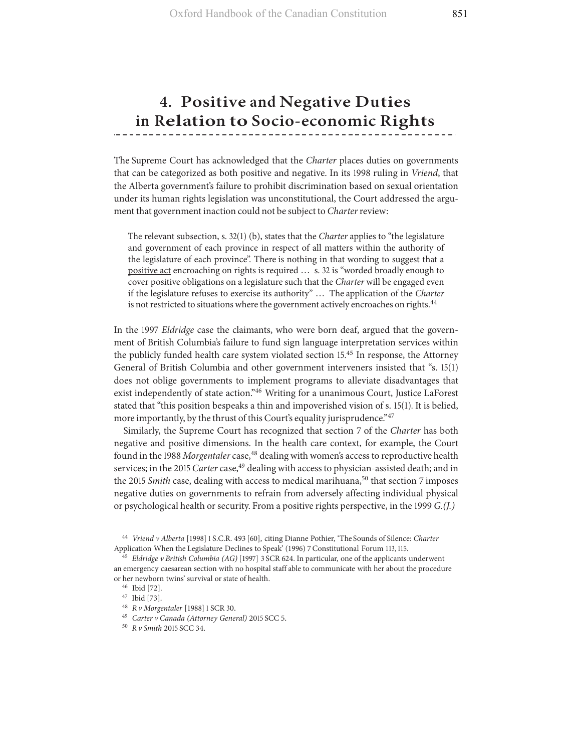# **4. Positive and Negative Duties in Relation to Socio-economic Rights**

The Supreme Court has acknowledged that the Charter places duties on governments that can be categorized as both positive and negative. In its 1998 ruling in Vriend, that the Alberta government's failure to prohibit discrimination based on sexual orientation under its human rights legislation was unconstitutional, the Court addressed the argument that government inaction could not be subject to Charter review:

The relevant subsection, s. 32(1) (b), states that the Charter applies to "the legislature and government of each province in respect of all matters within the authority of the legislature of each province". There is nothing in that wording to suggest that a positive act encroaching on rights is required … s. 32 is "worded broadly enough to cover positive obligations on a legislature such that the Charter will be engaged even if the legislature refuses to exercise its authority" … The application of the Charter is not restricted to situations where the government actively encroaches on rights.<sup>44</sup>

In the 1997 Eldridge case the claimants, who were born deaf, argued that the government of British Columbia's failure to fund sign language interpretation services within the publicly funded health care system violated section 15.45 In response, the Attorney General of British Columbia and other government interveners insisted that "s. 15(1) does not oblige governments to implement programs to alleviate disadvantages that exist independently of state action."46 Writing for a unanimous Court, Justice LaForest stated that "this position bespeaks a thin and impoverished vision of s. 15(1). It is belied, more importantly, by the thrust of this Court's equality jurisprudence.<sup>"47</sup>

Similarly, the Supreme Court has recognized that section 7 of the Charter has both negative and positive dimensions. In the health care context, for example, the Court found in the 1988 Morgentaler case,<sup>48</sup> dealing with women's access to reproductive health services; in the 2015 Carter case,<sup>49</sup> dealing with access to physician-assisted death; and in the 2015 Smith case, dealing with access to medical marihuana,<sup>50</sup> that section 7 imposes negative duties on governments to refrain from adversely affecting individual physical or psychological health or security. From a positive rights perspective, in the 1999 G.(J.)

<sup>44</sup> Vriend v Alberta [1998] 1 S.C.R. 493 [60], citing Dianne Pothier, 'The Sounds of Silence: Charter Application When the Legislature Declines to Speak' (1996) 7 Constitutional Forum 113, 115.

47 Ibid [73].

<sup>&</sup>lt;sup>45</sup> Eldridge v British Columbia (AG) [1997] 3 SCR 624. In particular, one of the applicants underwent an emergency caesarean section with no hospital staff able to communicate with her about the procedure or her newborn twins' survival or state of health.

<sup>46</sup> Ibid [72].

<sup>48</sup>R v Morgentaler [1988] 1 SCR 30.

<sup>49</sup> Carter v Canada (Attorney General) 2015 SCC 5.

<sup>&</sup>lt;sup>50</sup> R v Smith 2015 SCC 34.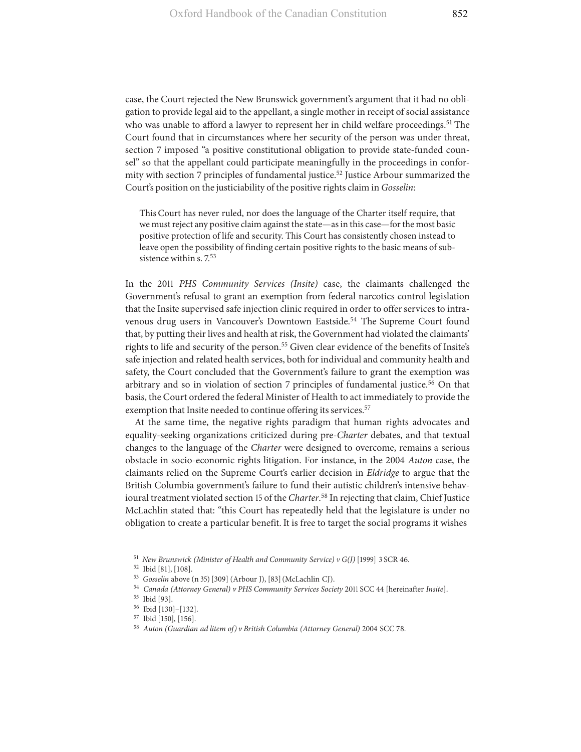case, the Court rejected the New Brunswick government's argument that it had no obligation to provide legal aid to the appellant, a single mother in receipt of social assistance who was unable to afford a lawyer to represent her in child welfare proceedings.<sup>51</sup> The Court found that in circumstances where her security of the person was under threat, section 7 imposed "a positive constitutional obligation to provide state-funded counsel" so that the appellant could participate meaningfully in the proceedings in conformity with section 7 principles of fundamental justice.<sup>52</sup> Justice Arbour summarized the Court's position on the justiciability of the positive rights claim in Gosselin:

This Court has never ruled, nor does the language of the Charter itself require, that we must reject any positive claim against the state—as in this case—for the most basic positive protection of life and security. This Court has consistently chosen instead to leave open the possibility of finding certain positive rights to the basic means of subsistence within s.  $7.53$ 

In the 2011 PHS Community Services (Insite) case, the claimants challenged the Government's refusal to grant an exemption from federal narcotics control legislation that the Insite supervised safe injection clinic required in order to offer services to intravenous drug users in Vancouver's Downtown Eastside.<sup>54</sup> The Supreme Court found that, by putting their lives and health at risk, the Government had violated the claimants' rights to life and security of the person.55 Given clear evidence of the benefits of Insite's safe injection and related health services, both for individual and community health and safety, the Court concluded that the Government's failure to grant the exemption was arbitrary and so in violation of section 7 principles of fundamental justice.<sup>56</sup> On that basis, the Court ordered the federal Minister of Health to act immediately to provide the exemption that Insite needed to continue offering its services.<sup>57</sup>

At the same time, the negative rights paradigm that human rights advocates and equality-seeking organizations criticized during pre-*Charter* debates, and that textual changes to the language of the Charter were designed to overcome, remains a serious obstacle in socio-economic rights litigation. For instance, in the 2004 Auton case, the claimants relied on the Supreme Court's earlier decision in *Eldridge* to argue that the British Columbia government's failure to fund their autistic children's intensive behavioural treatment violated section 15 of the Charter.<sup>58</sup> In rejecting that claim, Chief Justice McLachlin stated that: "this Court has repeatedly held that the legislature is under no obligation to create a particular benefit. It is free to target the social programs it wishes

 $51$  New Brunswick (Minister of Health and Community Service) v G(J) [1999] 3 SCR 46.

<sup>52</sup> Ibid [81], [108].

<sup>53</sup> Gosselin above (n 35) [309] (Arbour J), [83] (McLachlin CJ).

<sup>&</sup>lt;sup>54</sup> Canada (Attorney General) v PHS Community Services Society 2011 SCC 44 [hereinafter Insite].

<sup>55</sup> Ibid [93].

<sup>56</sup> Ibid [130]–[132].

<sup>57</sup> Ibid [150], [156].

 $58$  Auton (Guardian ad litem of) v British Columbia (Attorney General) 2004 SCC 78.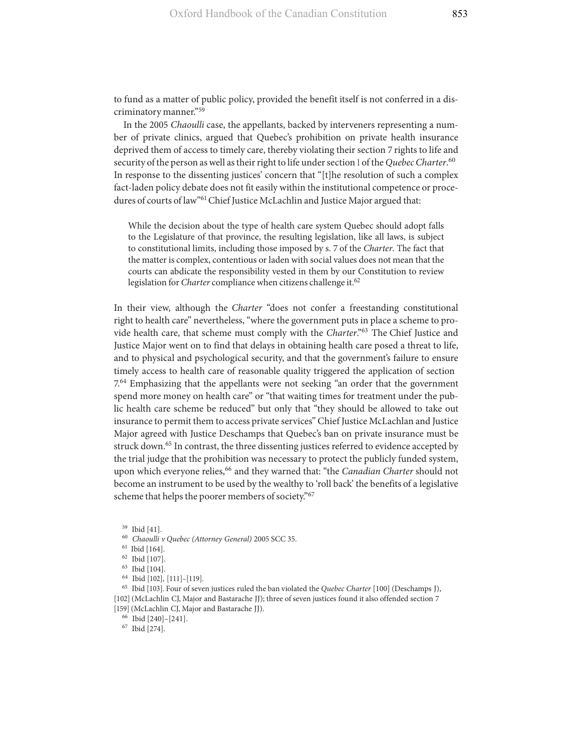to fund as a matter of public policy, provided the benefit itself is not conferred in a discriminatory manner."59

In the 2005 Chaoulli case, the appellants, backed by interveners representing a number of private clinics, argued that Quebec's prohibition on private health insurance deprived them of access to timely care, thereby violating their section 7 rights to life and security of the person as well as their right to life under section 1 of the Quebec Charter.<sup>60</sup> In response to the dissenting justices' concern that "[t]he resolution of such a complex fact-laden policy debate does not fit easily within the institutional competence or procedures of courts of law"<sup>61</sup> Chief Justice McLachlin and Justice Major argued that:

While the decision about the type of health care system Quebec should adopt falls to the Legislature of that province, the resulting legislation, like all laws, is subject to constitutional limits, including those imposed by s. 7 of the Charter. The fact that the matter is complex, contentious or laden with social values does not mean that the courts can abdicate the responsibility vested in them by our Constitution to review legislation for *Charter* compliance when citizens challenge it.<sup>62</sup>

In their view, although the Charter "does not confer a freestanding constitutional right to health care" nevertheless, "where the government puts in place a scheme to provide health care, that scheme must comply with the Charter."<sup>63</sup> The Chief Justice and Justice Major went on to find that delays in obtaining health care posed a threat to life, and to physical and psychological security, and that the government's failure to ensure timely access to health care of reasonable quality triggered the application of section 7.64 Emphasizing that the appellants were not seeking "an order that the government spend more money on health care" or "that waiting times for treatment under the public health care scheme be reduced" but only that "they should be allowed to take out insurance to permit them to access private services" Chief Justice McLachlan and Justice Major agreed with Justice Deschamps that Quebec's ban on private insurance must be struck down.<sup>65</sup> In contrast, the three dissenting justices referred to evidence accepted by the trial judge that the prohibition was necessary to protect the publicly funded system, upon which everyone relies,<sup>66</sup> and they warned that: "the Canadian Charter should not become an instrument to be used by the wealthy to 'roll back' the benefits of a legislative scheme that helps the poorer members of society."<sup>67</sup>

<sup>59</sup> Ibid [41].

 $60$  Chaoulli v Quebec (Attorney General) 2005 SCC 35.

<sup>61</sup> Ibid [164].

<sup>62</sup> Ibid [107].

<sup>63</sup> Ibid [104].

<sup>64</sup> Ibid [102], [111]–[119].

 $65$  Ibid [103]. Four of seven justices ruled the ban violated the Quebec Charter [100] (Deschamps J), [102] (McLachlin CJ, Major and Bastarache JJ); three of seven justices found it also offended section 7

<sup>[159] (</sup>McLachlin CJ, Major and Bastarache JJ).

<sup>66</sup> Ibid [240]–[241].

<sup>67</sup> Ibid [274].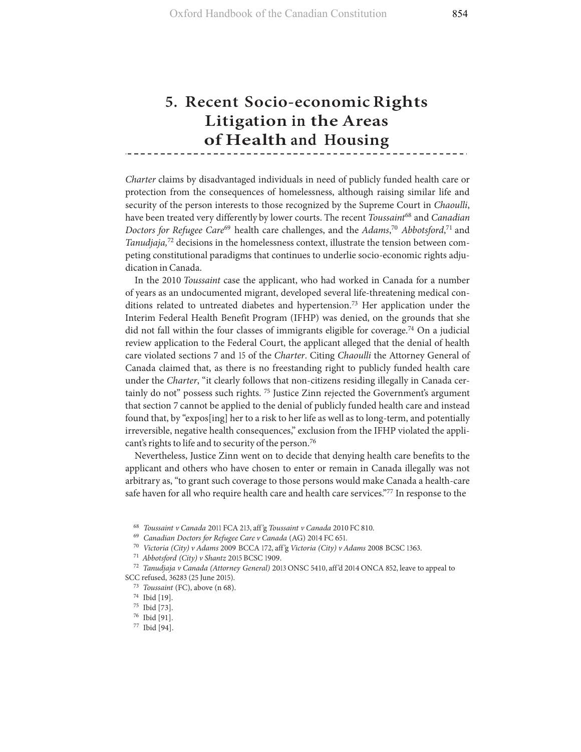## **5. Recent Socio-economic Rights Litigation in the Areas of Health and Housing**

Charter claims by disadvantaged individuals in need of publicly funded health care or protection from the consequences of homelessness, although raising similar life and security of the person interests to those recognized by the Supreme Court in Chaoulli, have been treated very differently by lower courts. The recent Toussaint<sup>68</sup> and Canadian Doctors for Refugee Care<sup>69</sup> health care challenges, and the Adams,<sup>70</sup> Abbotsford,<sup>71</sup> and Tanudjaja,<sup>72</sup> decisions in the homelessness context, illustrate the tension between competing constitutional paradigms that continues to underlie socio-economic rights adjudication in Canada.

In the 2010 Toussaint case the applicant, who had worked in Canada for a number of years as an undocumented migrant, developed several life-threatening medical conditions related to untreated diabetes and hypertension.<sup>73</sup> Her application under the Interim Federal Health Benefit Program (IFHP) was denied, on the grounds that she did not fall within the four classes of immigrants eligible for coverage.74 On a judicial review application to the Federal Court, the applicant alleged that the denial of health care violated sections 7 and 15 of the Charter. Citing Chaoulli the Attorney General of Canada claimed that, as there is no freestanding right to publicly funded health care under the Charter, "it clearly follows that non-citizens residing illegally in Canada certainly do not" possess such rights. 75 Justice Zinn rejected the Government's argument that section 7 cannot be applied to the denial of publicly funded health care and instead found that, by "expos[ing] her to a risk to her life as well as to long-term, and potentially irreversible, negative health consequences," exclusion from the IFHP violated the applicant's rights to life and to security of the person.<sup>76</sup>

Nevertheless, Justice Zinn went on to decide that denying health care benefits to the applicant and others who have chosen to enter or remain in Canada illegally was not arbitrary as, "to grant such coverage to those persons would make Canada a health-care safe haven for all who require health care and health care services."77 In response to the

<sup>70</sup> Victoria (City) v Adams 2009 BCCA 172, aff'g Victoria (City) v Adams 2008 BCSC 1363.

<sup>&</sup>lt;sup>68</sup> Toussaint v Canada 2011 FCA 213, aff'g Toussaint v Canada 2010 FC 810.

 $69$  Canadian Doctors for Refugee Care v Canada (AG) 2014 FC 651.

<sup>&</sup>lt;sup>71</sup> Abbotsford (City) v Shantz 2015 BCSC 1909.

 $72$  Tanudjaja v Canada (Attorney General) 2013 ONSC 5410, aff'd 2014 ONCA 852, leave to appeal to SCC refused, 36283 (25 June 2015).

<sup>73</sup> Toussaint (FC), above (n 68).

<sup>74</sup> Ibid [19].

<sup>75</sup> Ibid [73].

<sup>76</sup> Ibid [91].

<sup>77</sup> Ibid [94].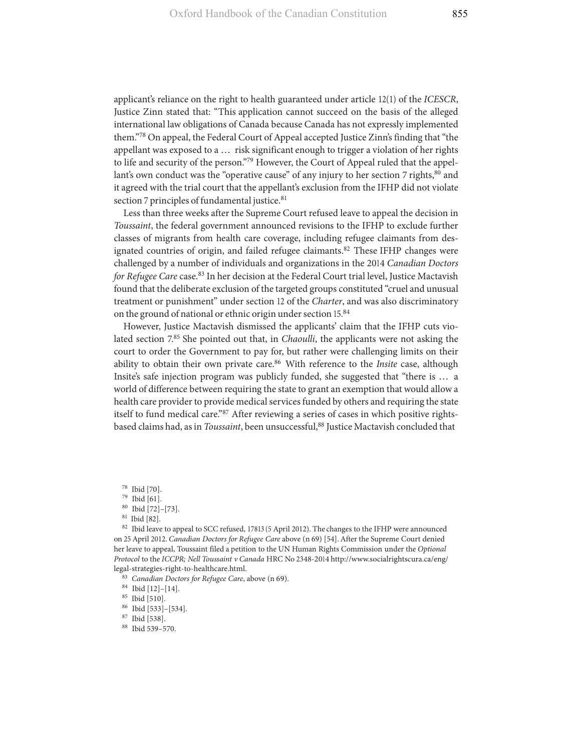applicant's reliance on the right to health guaranteed under article 12(1) of the ICESCR, Justice Zinn stated that: "This application cannot succeed on the basis of the alleged international law obligations of Canada because Canada has not expressly implemented them."78 On appeal, the Federal Court of Appeal accepted Justice Zinn's finding that "the appellant was exposed to a … risk significant enough to trigger a violation of her rights to life and security of the person."<sup>79</sup> However, the Court of Appeal ruled that the appellant's own conduct was the "operative cause" of any injury to her section 7 rights,  $80$  and it agreed with the trial court that the appellant's exclusion from the IFHP did not violate section 7 principles of fundamental justice.<sup>81</sup>

Less than three weeks after the Supreme Court refused leave to appeal the decision in Toussaint, the federal government announced revisions to the IFHP to exclude further classes of migrants from health care coverage, including refugee claimants from designated countries of origin, and failed refugee claimants.<sup>82</sup> These IFHP changes were challenged by a number of individuals and organizations in the 2014 Canadian Doctors for Refugee Care case.<sup>83</sup> In her decision at the Federal Court trial level, Justice Mactavish found that the deliberate exclusion of the targeted groups constituted "cruel and unusual treatment or punishment" under section 12 of the Charter, and was also discriminatory on the ground of national or ethnic origin under section 15.84

However, Justice Mactavish dismissed the applicants' claim that the IFHP cuts violated section 7.85 She pointed out that, in *Chaoulli*, the applicants were not asking the court to order the Government to pay for, but rather were challenging limits on their ability to obtain their own private care.<sup>86</sup> With reference to the *Insite* case, although Insite's safe injection program was publicly funded, she suggested that "there is … a world of difference between requiring the state to grant an exemption that would allow a health care provider to provide medical services funded by others and requiring the state itself to fund medical care."87 After reviewing a series of cases in which positive rightsbased claims had, as in Toussaint, been unsuccessful,<sup>88</sup> Justice Mactavish concluded that

85 Ibid [510].

<sup>78</sup> Ibid [70].

<sup>79</sup> Ibid [61].

<sup>80</sup> Ibid [72]–[73].

<sup>81</sup> Ibid [82].

<sup>&</sup>lt;sup>82</sup> Ibid leave to appeal to SCC refused, 17813 (5 April 2012). The changes to the IFHP were announced on 25 April 2012. Canadian Doctors for Refugee Care above (n 69) [54]. After the Supreme Court denied her leave to appeal, Toussaint filed a petition to the UN Human Rights Commission under the Optional Protocol to the ICCPR; Nell Toussaint v Canada HRC No 2348-2014 http://www.socialrightscura.ca/eng/ legal-strategies-right-to-healthcare.html.

<sup>83</sup> Canadian Doctors for Refugee Care, above (n 69).

<sup>84</sup> Ibid [12]–[14].

<sup>86</sup> Ibid [533]–[534].

<sup>87</sup> Ibid [538].

<sup>88</sup> Ibid 539–570.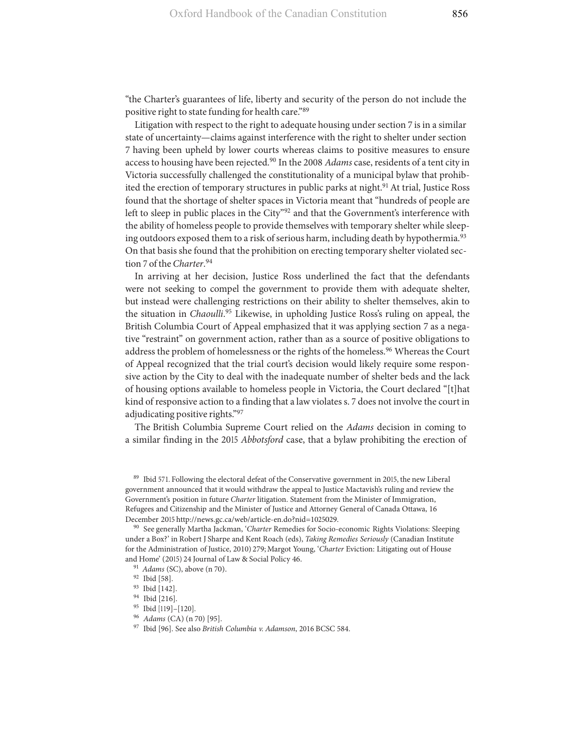"the Charter's guarantees of life, liberty and security of the person do not include the positive right to state funding for health care."<sup>89</sup>

Litigation with respect to the right to adequate housing under section 7 is in a similar state of uncertainty—claims against interference with the right to shelter under section 7 having been upheld by lower courts whereas claims to positive measures to ensure access to housing have been rejected.<sup>90</sup> In the 2008 *Adams* case, residents of a tent city in Victoria successfully challenged the constitutionality of a municipal bylaw that prohibited the erection of temporary structures in public parks at night.<sup>91</sup> At trial, Justice Ross found that the shortage of shelter spaces in Victoria meant that "hundreds of people are left to sleep in public places in the City"<sup>92</sup> and that the Government's interference with the ability of homeless people to provide themselves with temporary shelter while sleeping outdoors exposed them to a risk of serious harm, including death by hypothermia.<sup>93</sup> On that basis she found that the prohibition on erecting temporary shelter violated section 7 of the Charter.<sup>94</sup>

In arriving at her decision, Justice Ross underlined the fact that the defendants were not seeking to compel the government to provide them with adequate shelter, but instead were challenging restrictions on their ability to shelter themselves, akin to the situation in Chaoulli.<sup>95</sup> Likewise, in upholding Justice Ross's ruling on appeal, the British Columbia Court of Appeal emphasized that it was applying section 7 as a negative "restraint" on government action, rather than as a source of positive obligations to address the problem of homelessness or the rights of the homeless.96 Whereas the Court of Appeal recognized that the trial court's decision would likely require some responsive action by the City to deal with the inadequate number of shelter beds and the lack of housing options available to homeless people in Victoria, the Court declared "[t]hat kind of responsive action to a finding that a law violates s. 7 does not involve the court in adjudicating positive rights."<sup>97</sup>

The British Columbia Supreme Court relied on the Adams decision in coming to a similar finding in the 2015 Abbotsford case, that a bylaw prohibiting the erection of

<sup>89</sup> Ibid 571. Following the electoral defeat of the Conservative government in 2015, the new Liberal government announced that it would withdraw the appeal to Justice Mactavish's ruling and review the Government's position in future Charter litigation. Statement from the Minister of Immigration, Refugees and Citizenship and the Minister of Justice and Attorney General of Canada Ottawa, 16 December 2015 http://news.gc.ca/web/article-en.do?nid=1025029.

 $90$  See generally Martha Jackman, 'Charter Remedies for Socio-economic Rights Violations: Sleeping under a Box?' in Robert J Sharpe and Kent Roach (eds), Taking Remedies Seriously (Canadian Institute for the Administration of Justice, 2010) 279; Margot Young, 'Charter Eviction: Litigating out of House and Home' (2015) 24 Journal of Law & Social Policy 46.

 $91$  Adams (SC), above (n 70).

<sup>92</sup> Ibid [58].

<sup>93</sup> Ibid [142].

<sup>94</sup> Ibid [216].

<sup>95</sup> Ibid [119]–[120].

<sup>&</sup>lt;sup>96</sup> Adams (CA) (n 70) [95].

<sup>&</sup>lt;sup>97</sup> Ibid [96]. See also British Columbia v. Adamson, 2016 BCSC 584.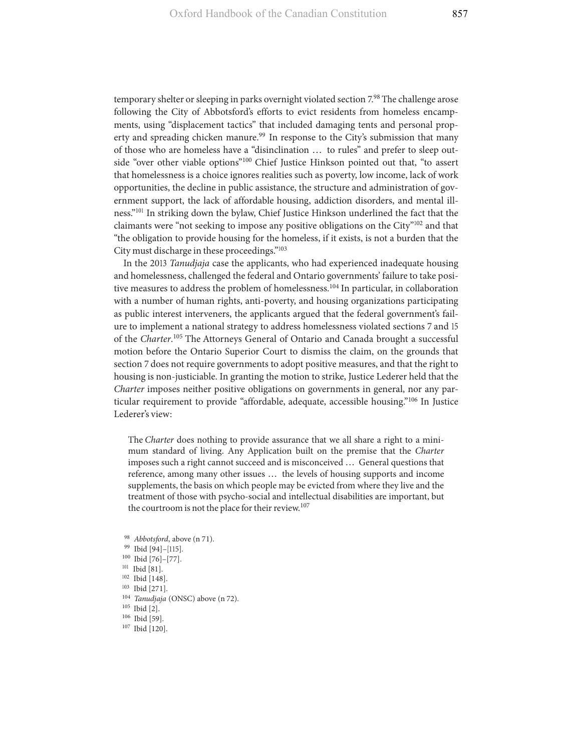temporary shelter or sleeping in parks overnight violated section 7.98 The challenge arose following the City of Abbotsford's efforts to evict residents from homeless encampments, using "displacement tactics" that included damaging tents and personal property and spreading chicken manure.<sup>99</sup> In response to the City's submission that many of those who are homeless have a "disinclination … to rules" and prefer to sleep outside "over other viable options"<sup>100</sup> Chief Justice Hinkson pointed out that, "to assert that homelessness is a choice ignores realities such as poverty, low income, lack of work opportunities, the decline in public assistance, the structure and administration of government support, the lack of affordable housing, addiction disorders, and mental illness."101 In striking down the bylaw, Chief Justice Hinkson underlined the fact that the claimants were "not seeking to impose any positive obligations on the City" $102$  and that "the obligation to provide housing for the homeless, if it exists, is not a burden that the City must discharge in these proceedings."103

In the 2013 Tanudjaja case the applicants, who had experienced inadequate housing and homelessness, challenged the federal and Ontario governments' failure to take positive measures to address the problem of homelessness.104 In particular, in collaboration with a number of human rights, anti-poverty, and housing organizations participating as public interest interveners, the applicants argued that the federal government's failure to implement a national strategy to address homelessness violated sections 7 and 15 of the Charter.<sup>105</sup> The Attorneys General of Ontario and Canada brought a successful motion before the Ontario Superior Court to dismiss the claim, on the grounds that section 7 does not require governments to adopt positive measures, and that the right to housing is non-justiciable. In granting the motion to strike, Justice Lederer held that the Charter imposes neither positive obligations on governments in general, nor any particular requirement to provide "affordable, adequate, accessible housing."106 In Justice Lederer's view:

The Charter does nothing to provide assurance that we all share a right to a minimum standard of living. Any Application built on the premise that the Charter imposes such a right cannot succeed and is misconceived … General questions that reference, among many other issues … the levels of housing supports and income supplements, the basis on which people may be evicted from where they live and the treatment of those with psycho-social and intellectual disabilities are important, but the courtroom is not the place for their review.<sup>107</sup>

<sup>98</sup> Abbotsford, above (n 71). 99 Ibid [94]–[115]. 100 Ibid [76]–[77]. 101 Ibid [81]. 102 Ibid [148]. 103 Ibid [271]. <sup>104</sup> Tanudjaja (ONSC) above (n 72). 105 Ibid [2]. 106 Ibid [59]. 107 Ibid [120].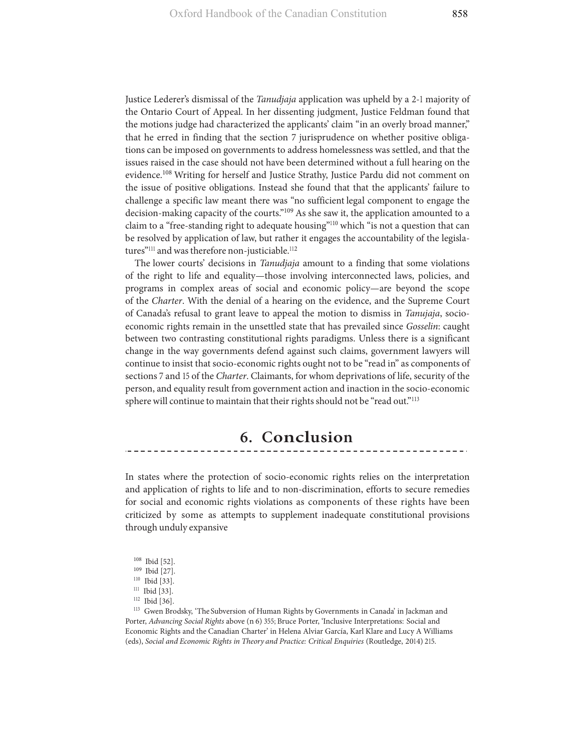Justice Lederer's dismissal of the Tanudjaja application was upheld by a 2-1 majority of the Ontario Court of Appeal. In her dissenting judgment, Justice Feldman found that the motions judge had characterized the applicants' claim "in an overly broad manner," that he erred in finding that the section 7 jurisprudence on whether positive obligations can be imposed on governments to address homelessness was settled, and that the issues raised in the case should not have been determined without a full hearing on the evidence.<sup>108</sup> Writing for herself and Justice Strathy, Justice Pardu did not comment on the issue of positive obligations. Instead she found that that the applicants' failure to challenge a specific law meant there was "no sufficient legal component to engage the decision-making capacity of the courts."109 As she saw it, the application amounted to a claim to a "free-standing right to adequate housing"<sup>110</sup> which "is not a question that can be resolved by application of law, but rather it engages the accountability of the legislatures"<sup>111</sup> and was therefore non-justiciable.<sup>112</sup>

The lower courts' decisions in Tanudjaja amount to a finding that some violations of the right to life and equality—those involving interconnected laws, policies, and programs in complex areas of social and economic policy—are beyond the scope of the Charter. With the denial of a hearing on the evidence, and the Supreme Court of Canada's refusal to grant leave to appeal the motion to dismiss in Tanujaja, socioeconomic rights remain in the unsettled state that has prevailed since Gosselin: caught between two contrasting constitutional rights paradigms. Unless there is a significant change in the way governments defend against such claims, government lawyers will continue to insist that socio-economic rights ought not to be "read in" as components of sections 7 and 15 of the Charter. Claimants, for whom deprivations of life, security of the person, and equality result from government action and inaction in the socio-economic sphere will continue to maintain that their rights should not be "read out."<sup>113</sup>

**6. Conclusion**

In states where the protection of socio-economic rights relies on the interpretation and application of rights to life and to non-discrimination, efforts to secure remedies for social and economic rights violations as components of these rights have been criticized by some as attempts to supplement inadequate constitutional provisions through unduly expansive

108 Ibid [52].

<sup>109</sup> Ibid [27].

<sup>110</sup> Ibid [33].

<sup>111</sup> Ibid [33].

 $112$  Ibid [36].

 $^{\rm 113}$  Gwen Brodsky, 'The Subversion of Human Rights by Governments in Canada' in Jackman and Porter, Advancing Social Rights above (n 6) 355; Bruce Porter, 'Inclusive Interpretations: Social and Economic Rights and the Canadian Charter' in Helena Alviar García, Karl Klare and Lucy A Williams (eds), Social and Economic Rights in Theory and Practice: Critical Enquiries (Routledge, 2014) 215.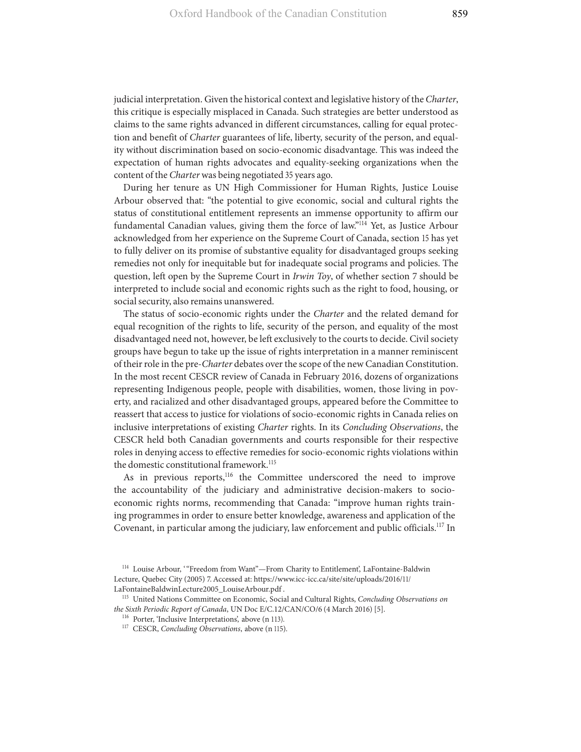judicial interpretation. Given the historical context and legislative history of the Charter, this critique is especially misplaced in Canada. Such strategies are better understood as claims to the same rights advanced in different circumstances, calling for equal protection and benefit of Charter guarantees of life, liberty, security of the person, and equality without discrimination based on socio-economic disadvantage. This was indeed the expectation of human rights advocates and equality-seeking organizations when the content of the Charter was being negotiated 35 years ago.

During her tenure as UN High Commissioner for Human Rights, Justice Louise Arbour observed that: "the potential to give economic, social and cultural rights the status of constitutional entitlement represents an immense opportunity to affirm our fundamental Canadian values, giving them the force of law."114 Yet, as Justice Arbour acknowledged from her experience on the Supreme Court of Canada, section 15 has yet to fully deliver on its promise of substantive equality for disadvantaged groups seeking remedies not only for inequitable but for inadequate social programs and policies. The question, left open by the Supreme Court in Irwin Toy, of whether section 7 should be interpreted to include social and economic rights such as the right to food, housing, or social security, also remains unanswered.

The status of socio-economic rights under the Charter and the related demand for equal recognition of the rights to life, security of the person, and equality of the most disadvantaged need not, however, be left exclusively to the courts to decide. Civil society groups have begun to take up the issue of rights interpretation in a manner reminiscent of their role in the pre-Charter debates over the scope of the new Canadian Constitution. In the most recent CESCR review of Canada in February 2016, dozens of organizations representing Indigenous people, people with disabilities, women, those living in poverty, and racialized and other disadvantaged groups, appeared before the Committee to reassert that access to justice for violations of socio-economic rights in Canada relies on inclusive interpretations of existing Charter rights. In its Concluding Observations, the CESCR held both Canadian governments and courts responsible for their respective roles in denying access to effective remedies for socio-economic rights violations within the domestic constitutional framework.<sup>115</sup>

As in previous reports,<sup>116</sup> the Committee underscored the need to improve the accountability of the judiciary and administrative decision-makers to socioeconomic rights norms, recommending that Canada: "improve human rights training programmes in order to ensure better knowledge, awareness and application of the Covenant, in particular among the judiciary, law enforcement and public officials.117 In

<sup>&</sup>lt;sup>114</sup> Louise Arbour, "Freedom from Want"—From Charity to Entitlement', LaFontaine-Baldwin Lecture, Quebec City (2005) 7. Accessed at: https://www.icc-icc.ca/site/site/uploads/2016/11/ LaFontaineBaldwinLecture2005\_LouiseArbour.pdf .

<sup>&</sup>lt;sup>115</sup> United Nations Committee on Economic, Social and Cultural Rights, Concluding Observations on the Sixth Periodic Report of Canada, UN Doc E/C.12/CAN/CO/6 (4 March 2016) [5].

<sup>116</sup> Porter, 'Inclusive Interpretations', above (n 113).

<sup>&</sup>lt;sup>117</sup> CESCR, Concluding Observations, above (n 115).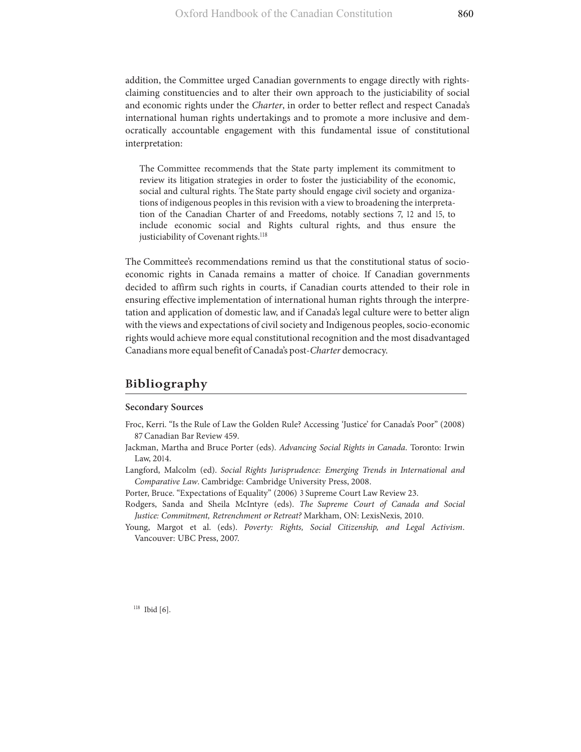addition, the Committee urged Canadian governments to engage directly with rightsclaiming constituencies and to alter their own approach to the justiciability of social and economic rights under the Charter, in order to better reflect and respect Canada's international human rights undertakings and to promote a more inclusive and democratically accountable engagement with this fundamental issue of constitutional interpretation:

The Committee recommends that the State party implement its commitment to review its litigation strategies in order to foster the justiciability of the economic, social and cultural rights. The State party should engage civil society and organizations of indigenous peoples in this revision with a view to broadening the interpretation of the Canadian Charter of and Freedoms, notably sections 7, 12 and 15, to include economic social and Rights cultural rights, and thus ensure the justiciability of Covenant rights.<sup>118</sup>

The Committee's recommendations remind us that the constitutional status of socioeconomic rights in Canada remains a matter of choice. If Canadian governments decided to affirm such rights in courts, if Canadian courts attended to their role in ensuring effective implementation of international human rights through the interpretation and application of domestic law, and if Canada's legal culture were to better align with the views and expectations of civil society and Indigenous peoples, socio-economic rights would achieve more equal constitutional recognition and the most disadvantaged Canadians more equal benefit of Canada's post-Charter democracy.

#### **Bibliography**

#### **Secondary Sources**

- Froc, Kerri. "Is the Rule of Law the Golden Rule? Accessing 'Justice' for Canada's Poor" (2008) 87 Canadian Bar Review 459.
- Jackman, Martha and Bruce Porter (eds). Advancing Social Rights in Canada. Toronto: Irwin Law, 2014.
- Langford, Malcolm (ed). Social Rights Jurisprudence: Emerging Trends in International and Comparative Law. Cambridge: Cambridge University Press, 2008.
- Porter, Bruce. "Expectations of Equality" (2006) 3 Supreme Court Law Review 23.
- Rodgers, Sanda and Sheila McIntyre (eds). The Supreme Court of Canada and Social Justice: Commitment, Retrenchment or Retreat? Markham, ON: LexisNexis, 2010.
- Young, Margot et al. (eds). Poverty: Rights, Social Citizenship, and Legal Activism. Vancouver: UBC Press, 2007.

118 Ibid [6].